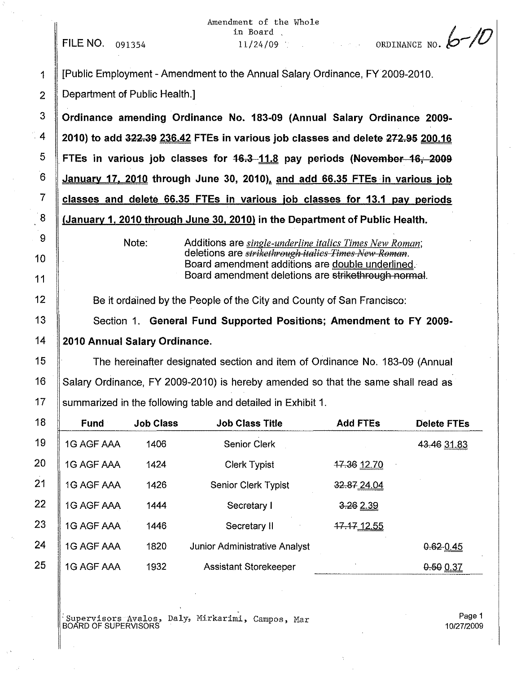FILE NO, 091354

Amendment of the Whole in Board ,  $11/24/09$  ORDINANCE NO.  $\sqrt{\frac{1}{10}}$ 

1 [Public Employment - Amendment to the Annual Salary Ordinance, FY2009-2010. 2 **Department of Public Health.** 

 Ordinance amending Ordinance No. 183-09 (Annual Salary Ordinance 2009- $\frac{4}{12010}$  to add 322.39 236.42 FTEs in various job classes and delete 272.95 200.16 FTEs in various job classes for  $16.3-11.8$  pay periods (November 16, 2009 January 17, 2010 through June 30, 2010), and add 66.35 FTEs in various job classes and delete 66.35 FTEs in various job classes for 13.1 pay periods  $\parallel$  (January 1, 2010 through June 30, 2010) in the Department of Public Health.

> Note: Additions are *single-underline italics Times New Roman;* deletions are *strikethreugh it£llies Times New Reman.* Board amendment additions are double underlined. Board amendment deletions are strikethrough normal.

12 **Be it ordained by the People of the City and County of San Francisco:** 

13 Section 1. General Fund Supported Positions; Amendment to FY 2009-14 2010 Annual Salary Ordinance.

15 The hereinafter designated section and item of Ordinance No, 183-09 (Annual 16 Salary Ordinance, FY 2009-2010) is hereby amended so that the same shall read as 17 Summarized in the following table and detailed in Exhibit 1.

| <b>Fund</b>       | <b>Job Class</b> | <b>Job Class Title</b>        | <b>Add FTEs</b> | <b>Delete FTEs</b> |
|-------------------|------------------|-------------------------------|-----------------|--------------------|
| 1G AGF AAA        | 1406             | <b>Senior Clerk</b>           |                 | 43.46 31.83        |
| 1G AGF AAA        | 1424             | <b>Clerk Typist</b>           | 17.36 12.70     |                    |
| 1G AGF AAA        | 1426             | Senior Clerk Typist           | 32.87 24.04     |                    |
| 1G AGF AAA        | 1444             | Secretary I                   | 3.262.39        |                    |
| <b>1G AGF AAA</b> | 1446             | Secretary II                  | 17 17 12 55     |                    |
| 1G AGF AAA        | 1820             | Junior Administrative Analyst |                 | 0.620.45           |
| <b>1G AGF AAA</b> | 1932             | <b>Assistant Storekeeper</b>  |                 | 0.50 0.37          |

: Supervisors Avalos, Daly, Mirkarimi, Campos, Mar BOARD OF SUPERVISORS

Page 1 10/27/2009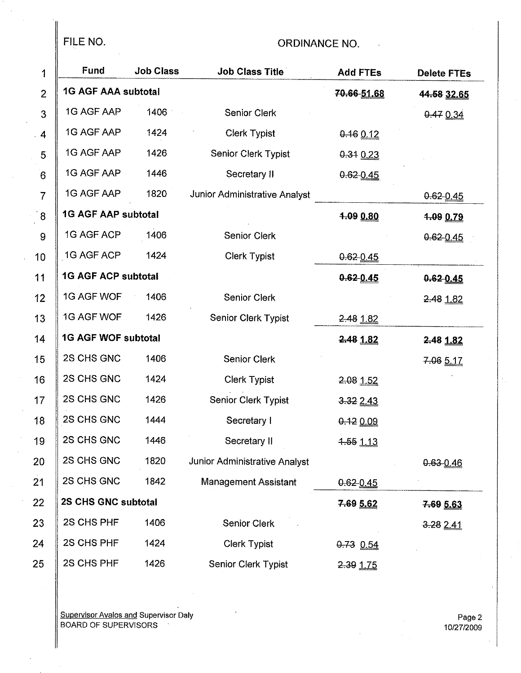$\frac{1}{2}$ 

## FILE NO. 69 CHE AND THE NO.

| 1               | Fund                       | <b>Job Class</b> | <b>Job Class Title</b>        | <b>Add FTEs</b>   | <b>Delete FTEs</b> |
|-----------------|----------------------------|------------------|-------------------------------|-------------------|--------------------|
| $\overline{2}$  | <b>1G AGF AAA subtotal</b> |                  |                               | 70.66-51.68       | 44.58 32.65        |
| 3               | 1G AGF AAP                 | 1406             | Senior Clerk                  |                   | 0.47034            |
| 4               | 1G AGF AAP                 | 1424             | <b>Clerk Typist</b>           | $0.16$ 0.12       |                    |
| 5               | 1G AGF AAP                 | 1426             | Senior Clerk Typist           | $0.34$ 0.23       |                    |
| $6\phantom{1}6$ | 1G AGF AAP                 | 1446             | Secretary II                  | $0.62 - 0.45$     |                    |
| $\overline{7}$  | 1G AGF AAP                 | 1820             | Junior Administrative Analyst |                   | $0.62 - 0.45$      |
| $\overline{8}$  | <b>1G AGF AAP subtotal</b> |                  |                               | 1.09 0.80         | 1.09 0.79          |
| 9               | 1G AGF ACP                 | 1406             | <b>Senior Clerk</b>           |                   | 0.62 0.45          |
| 10              | 1G AGF ACP                 | 1424             | <b>Clerk Typist</b>           | $0.62 - 0.45$     |                    |
| 11              | <b>1G AGF ACP subtotal</b> |                  |                               | $0.62 - 0.45$     | 0.620.45           |
| 12              | 1G AGF WOF                 | 1406             | <b>Senior Clerk</b>           |                   | 2.48 1.82          |
| 13              | 1G AGF WOF                 | 1426             | Senior Clerk Typist           | 2.48 1.82         |                    |
| 14              | <b>1G AGF WOF subtotal</b> |                  |                               | 2.48 1.82         | 2.48 1.82          |
| 15              | 2S CHS GNC                 | 1406             | Senior Clerk                  |                   | 7-06 5.17          |
| 16              | 2S CHS GNC                 | 1424             | <b>Clerk Typist</b>           | 2.08 1.52         |                    |
| 17              | 2S CHS GNC                 | 1426             | Senior Clerk Typist           | 3-32 2.43         |                    |
| 18              | 2S CHS GNC                 | 1444             | Secretary I                   | 0.12000           |                    |
| 19              | 2S CHS GNC                 | 1446             | Secretary II                  | <u> 1.55 1.13</u> |                    |
| 20              | 2S CHS GNC                 | 1820             | Junior Administrative Analyst |                   | $0.63 - 0.46$      |
| 21              | 2S CHS GNC                 | 1842             | <b>Management Assistant</b>   | $0.62 - 0.45$     |                    |
| 22              | 2S CHS GNC subtotal        |                  |                               | 7.69 5.62         | 7.69 5.63          |
| 23              | 2S CHS PHF                 | 1406             | <b>Senior Clerk</b>           |                   | 3.28241            |
| 24              | 2S CHS PHF                 | 1424             | <b>Clerk Typist</b>           | $0.73$ $0.54$     |                    |
| 25              | 2S CHS PHF                 | 1426             | Senior Clerk Typist           | 2.39 1.75         |                    |

Supervisor Avalos and Supervisor Daly BOARD OF SUPERVISORS

Page 2 10/27/2009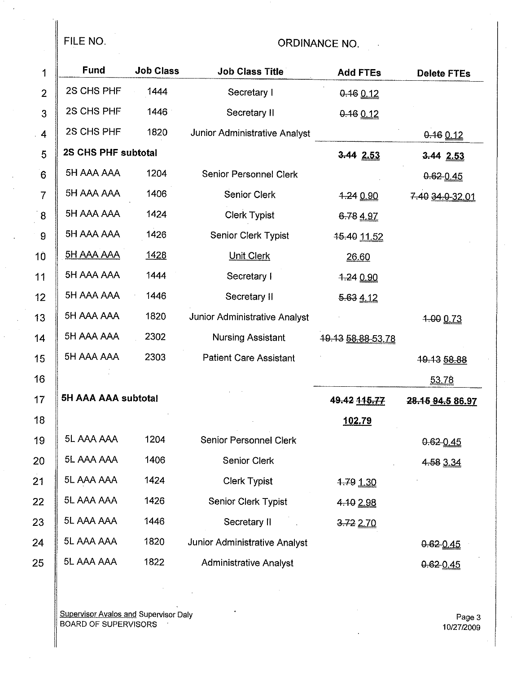### FILE NO.

### ORDINANCE NO.

| 1              | <b>Fund</b>         | <b>Job Class</b> | <b>Job Class Title</b>        | <b>Add FTEs</b>        | <b>Delete FTEs</b>     |
|----------------|---------------------|------------------|-------------------------------|------------------------|------------------------|
| $\overline{2}$ | 2S CHS PHF          | 1444             | Secretary I                   | $0.16$ 0.12            |                        |
| 3              | 2S CHS PHF          | 1446             | Secretary II                  | $0.16$ 0.12            |                        |
| $\overline{4}$ | 2S CHS PHF          | 1820             | Junior Administrative Analyst |                        | 0.16012                |
| 5              | 2S CHS PHF subtotal |                  |                               | $3.44$ $2.53$          | 3-44 2.53              |
| 6              | 5H AAA AAA          | 1204             | <b>Senior Personnel Clerk</b> |                        | 0.62 0.45              |
| $\overline{7}$ | 5H AAA AAA          | 1406             | Senior Clerk                  | $4 - 24$ 0.90          | 7.40 34.0 32.01        |
| 8              | 5H AAA AAA          | 1424             | <b>Clerk Typist</b>           | 6.78 4.97              |                        |
| $\pmb{9}$      | 5H AAA AAA          | 1426             | Senior Clerk Typist           | <del>15.40</del> 11.52 |                        |
| 10             | <u>5H AAA AAA</u>   | 1428             | <b>Unit Clerk</b>             | 26.60                  |                        |
| 11             | 5H AAA AAA          | 1444             | Secretary I                   | 1.24 0.90              |                        |
| 12             | 5H AAA AAA          | 1446             | Secretary II                  | 5.634.12               |                        |
| 13             | 5H AAA AAA          | 1820             | Junior Administrative Analyst |                        | 1-00 0.73              |
| 14             | 5H AAA AAA          | 2302             | Nursing Assistant             | 19.13 58.88-53.78      |                        |
| 15             | 5H AAA AAA          | 2303             | <b>Patient Care Assistant</b> |                        | <del>19.13 58.88</del> |
| 16             |                     |                  |                               |                        | 53.78                  |
| 17             | 5H AAA AAA subtotal |                  |                               | 49.42 115.77           | 28.15 94.5 86.97       |
| 18             |                     |                  |                               | 102.79                 |                        |
| 19             | 5L AAA AAA          | 1204             | Senior Personnel Clerk        |                        | $0.62 - 0.45$          |
| 20             | 5L AAA AAA          | 1406             | <b>Senior Clerk</b>           |                        | 4.58 3.34              |
| 21             | 5L AAA AAA          | 1424             | <b>Clerk Typist</b>           | 1.79 1.30              |                        |
| 22             | 5L AAA AAA          | 1426             | Senior Clerk Typist           | 4.10 2.98              |                        |
| 23             | 5L AAA AAA          | 1446             | Secretary II                  | 3.722.70               |                        |
| 24             | 5L AAA AAA          | 1820             | Junior Administrative Analyst |                        | $0.62 - 0.45$          |
| 25             | 5L AAA AAA          | 1822             | <b>Administrative Analyst</b> |                        | $0.62 - 0.45$          |

Supervisor Avalos and Supervisor Daly BOARD OF SUPERVISORS Page 3

10/2712009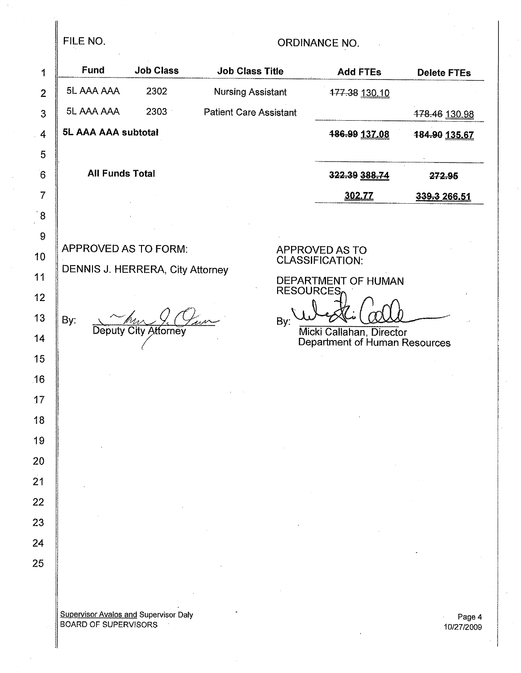## FILE NO. 2008 CREAR ORDINANCE NO.

| 1                      | <b>Fund</b>                      | <b>Job Class</b>     | <b>Job Class Title</b>        |                  | <b>Add FTEs</b>                                           | <b>Delete FTEs</b> |
|------------------------|----------------------------------|----------------------|-------------------------------|------------------|-----------------------------------------------------------|--------------------|
| $\overline{2}$         | 5L AAA AAA                       | 2302                 | <b>Nursing Assistant</b>      |                  | 177.38 130.10                                             |                    |
| 3                      | 5L AAA AAA                       | 2303                 | <b>Patient Care Assistant</b> |                  |                                                           | 478.46 130.98      |
| $\boldsymbol{4}$       | <b>5L AAA AAA subtotal</b>       |                      |                               |                  | 486.99 137.08                                             | 484.90 135.67      |
| 5                      |                                  |                      |                               |                  |                                                           |                    |
| $6\overline{6}$        | <b>All Funds Total</b>           |                      |                               |                  | 322.39 388.74                                             | 272.95             |
| $\overline{7}$         |                                  |                      |                               |                  | 302.77                                                    | 339.3 266.51       |
| $\bf 8$                |                                  |                      |                               |                  |                                                           |                    |
| $\boldsymbol{9}$<br>10 | APPROVED AS TO FORM:             |                      |                               |                  | APPROVED AS TO                                            |                    |
| 11                     | DENNIS J. HERRERA, City Attorney |                      |                               |                  | <b>CLASSIFICATION:</b>                                    |                    |
| 12                     |                                  |                      |                               | <b>RESOURCES</b> | DEPARTMENT OF HUMAN                                       |                    |
| 13                     | By:                              |                      |                               | By:              |                                                           |                    |
| 14                     |                                  | Deputy City Attorney |                               |                  | Micki Callahan, Director<br>Department of Human Resources |                    |
| 15                     |                                  |                      |                               |                  |                                                           |                    |
| .16                    |                                  |                      |                               |                  |                                                           |                    |
| 17                     |                                  |                      |                               |                  |                                                           |                    |
| 18                     |                                  |                      |                               |                  |                                                           |                    |
| 19                     |                                  |                      |                               |                  |                                                           |                    |
| 20                     |                                  |                      |                               |                  |                                                           |                    |
| $\frac{1}{2}$          |                                  |                      |                               |                  |                                                           |                    |
| 22                     |                                  |                      |                               |                  |                                                           |                    |
| 23                     |                                  |                      |                               |                  |                                                           |                    |
| 24                     |                                  |                      |                               |                  |                                                           |                    |
| 25                     |                                  |                      |                               |                  |                                                           |                    |
|                        |                                  |                      |                               |                  |                                                           |                    |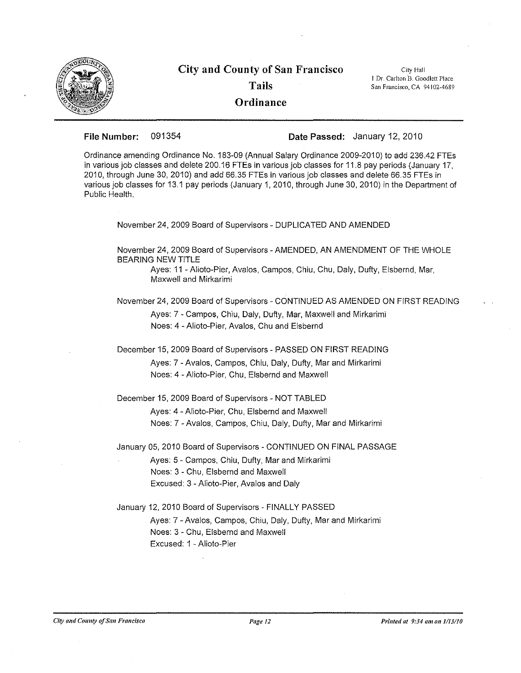

# **City and County of San Francisco Tails**

**City Hall I Dr, Carlton 'B. Goodlett Place SanFrancisco, CA 94102-4689**

**Ordinance**

**File Number:** 091354 **Date Passed:** January 12, 2010

Ordinance amending Ordinance No. 183-09 (Annual Salary Ordinance 2009-2010) to add 236.42 FTEs in various job classes and delete 200.16 FTEs in various job classes for 11.8 pay periods (January 17, 2010, through June 30, 2010) and add 66.35 FTEs in various job classes and delete 66.35 FTEs in various job classes for 13.1 pay periods (January 1, 2010, through June 30, 2010) in the Department of Public Health.

November 24, 2009 Board of Supervisors - DUPLICATED AND AMENDED

November 24, 2009 Board of Supervisors - AMENDED, AN AMENDMENT OF THE WHOLE BEARING NEW TITLE

Ayes: 11 - Alioto-Pier, Avalos, Campos, Chiu, Chu, Daly, Dufty, Elsbernd, Mar, Maxwell and Mirkarimi

November 24, 2009 Board of Supervisors - CONTINUED AS AMENDED ON FIRST READING Ayes: 7 - Campos, Chiu, Daly, Dufty, Mar, Maxwell and Mirkarimi Noes: 4 - Alioto-Pier, Avalos, Chu and Elsbernd

December 15,2009 Board of Supervisors - PASSED ON FIRST READING

Ayes: 7 - Avalos, Campos, Chiu, Daly, Dufty, Mar and Mirkarimi Noes: 4 - Alioto-Pier, Chu, Elsbernd and Maxwell

December 15, 2009 Board of Supervisors - NOT TABLED

Ayes: 4 - Alioto-Pier, Chu, Elsbernd and Maxwell Noes: 7 - Avalos, Campos, Chiu, Daly, Dufty, Mar and Mirkarimi

January 05, 2010 Board of Supervisors - CONTINUED ON FINAL PASSAGE

Ayes: 5 - Campos, Chiu, Dufty, Mar and Mirkarimi Noes: 3 - Chu, Elsbernd and Maxwell Excused: 3 - Alioto-Pier, Avalos and Daly

January 12, 2010 Board of Supervisors - FINALLY PASSED

Ayes: 7 - Avalos, Campos, Chiu, Daly, Dufty, Mar and Mirkarimi Noes: 3 - Chu, Elsbernd and Maxwell Excused: 1 - Alioto-Pier